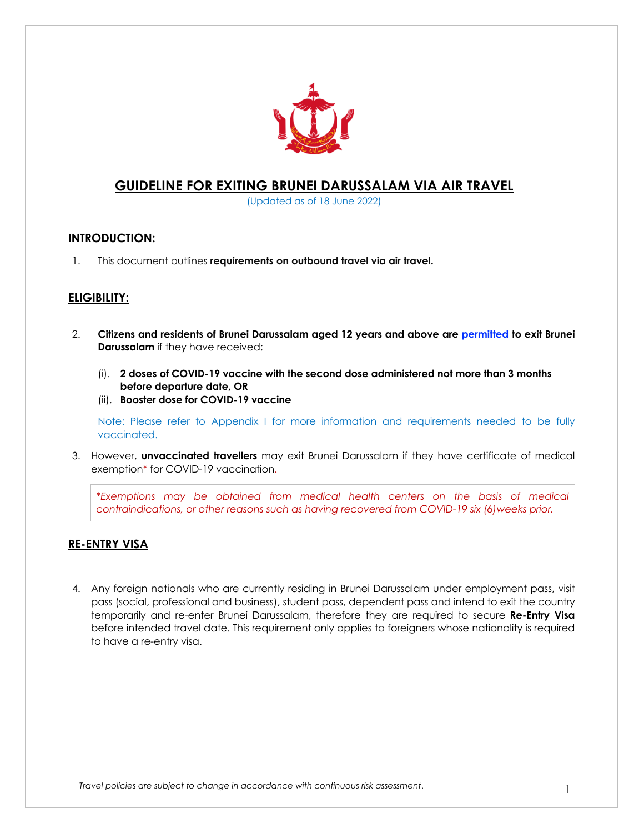

## **GUIDELINE FOR EXITING BRUNEI DARUSSALAM VIA AIR TRAVEL**

(Updated as of 18 June 2022)

### **INTRODUCTION:**

1. This document outlines **requirements on outbound travel via air travel.**

### **ELIGIBILITY:**

- 2. **Citizens and residents of Brunei Darussalam aged 12 years and above are permitted to exit Brunei Darussalam** if they have received:
	- (i). **2 doses of COVID-19 vaccine with the second dose administered not more than 3 months before departure date, OR**
	- (ii). **Booster dose for COVID-19 vaccine**

Note: Please refer to Appendix I for more information and requirements needed to be fully vaccinated.

3. However, **unvaccinated travellers** may exit Brunei Darussalam if they have certificate of medical exemption\* for COVID-19 vaccination.

*\*Exemptions may be obtained from medical health centers on the basis of medical contraindications, or other reasons such as having recovered from COVID-19 six (6)weeks prior.*

### **RE-ENTRY VISA**

4. Any foreign nationals who are currently residing in Brunei Darussalam under employment pass, visit pass (social, professional and business), student pass, dependent pass and intend to exit the country temporarily and re-enter Brunei Darussalam, therefore they are required to secure **Re-Entry Visa** before intended travel date. This requirement only applies to foreigners whose nationality is required to have a re-entry visa.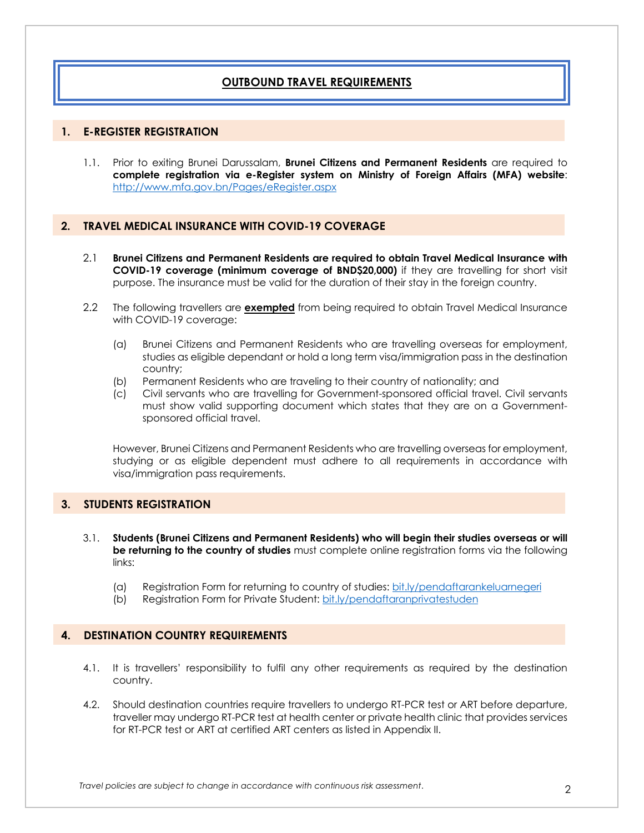### **OUTBOUND TRAVEL REQUIREMENTS**

#### **1. E-REGISTER REGISTRATION**

1.1. Prior to exiting Brunei Darussalam, **Brunei Citizens and Permanent Residents** are required to **complete registration via e-Register system on Ministry of Foreign Affairs (MFA) website**: http://www.mfa.gov.bn/Pages/eRegister.aspx

#### **2. TRAVEL MEDICAL INSURANCE WITH COVID-19 COVERAGE**

- 2.1 **Brunei Citizens and Permanent Residents are required to obtain Travel Medical Insurance with COVID-19 coverage (minimum coverage of BND\$20,000)** if they are travelling for short visit purpose. The insurance must be valid for the duration of their stay in the foreign country.
- 2.2 The following travellers are **exempted** from being required to obtain Travel Medical Insurance with COVID-19 coverage:
	- (a) Brunei Citizens and Permanent Residents who are travelling overseas for employment, studies as eligible dependant or hold a long term visa/immigration pass in the destination country;
	- (b) Permanent Residents who are traveling to their country of nationality; and
	- (c) Civil servants who are travelling for Government-sponsored official travel. Civil servants must show valid supporting document which states that they are on a Governmentsponsored official travel.

However, Brunei Citizens and Permanent Residents who are travelling overseas for employment, studying or as eligible dependent must adhere to all requirements in accordance with visa/immigration pass requirements.

#### **3. STUDENTS REGISTRATION**

- 3.1. **Students (Brunei Citizens and Permanent Residents) who will begin their studies overseas or will be returning to the country of studies** must complete online registration forms via the following links:
	- (a) Registration Form for returning to country of studies: bit.ly/pendaftarankeluarnegeri
	- (b) Registration Form for Private Student: bit.ly/pendaftaranprivatestuden

#### **4. DESTINATION COUNTRY REQUIREMENTS**

- 4.1. It is travellers' responsibility to fulfil any other requirements as required by the destination country.
- 4.2. Should destination countries require travellers to undergo RT-PCR test or ART before departure, traveller may undergo RT-PCR test at health center or private health clinic that provides services for RT-PCR test or ART at certified ART centers as listed in Appendix II.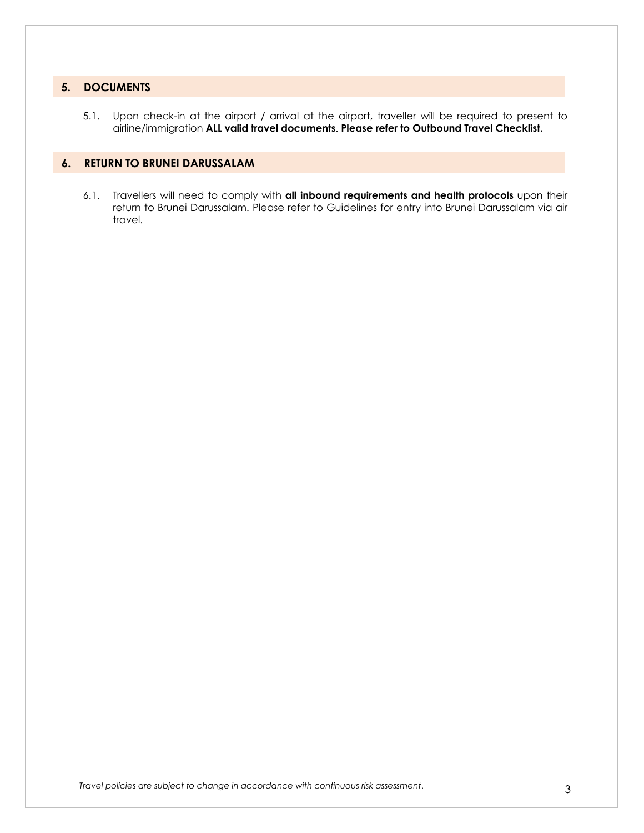### **5. DOCUMENTS**

5.1. Upon check-in at the airport / arrival at the airport, traveller will be required to present to airline/immigration **ALL valid travel documents**. **Please refer to Outbound Travel Checklist.**

### **6. RETURN TO BRUNEI DARUSSALAM**

6.1. Travellers will need to comply with **all inbound requirements and health protocols** upon their return to Brunei Darussalam. Please refer to Guidelines for entry into Brunei Darussalam via air travel.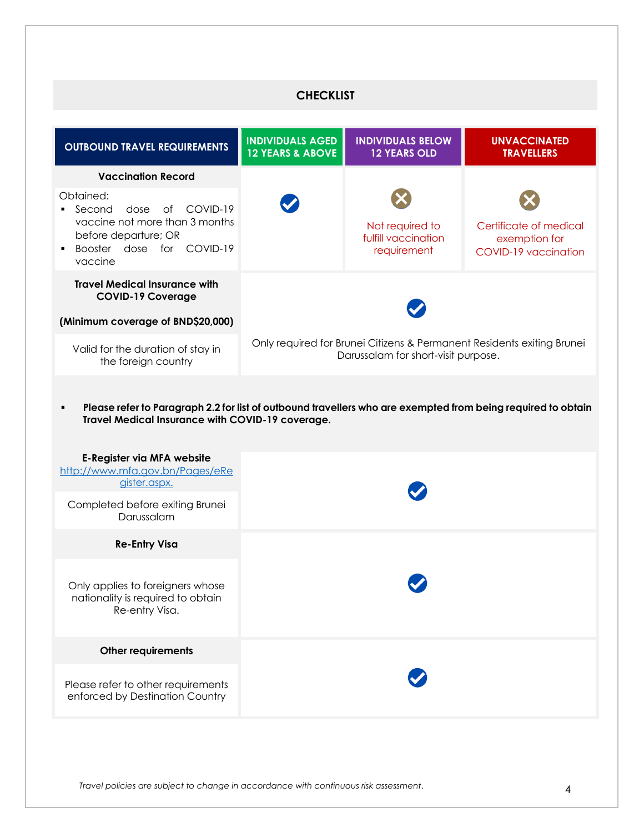# **CHECKLIST**

| <b>OUTBOUND TRAVEL REQUIREMENTS</b>                                                                                                                                                                                                                                                                            | <b>INDIVIDUALS AGED</b><br><b>12 YEARS &amp; ABOVE</b>                                                        | <b>INDIVIDUALS BELOW</b><br><b>12 YEARS OLD</b>       | <b>UNVACCINATED</b><br><b>TRAVELLERS</b>                        |
|----------------------------------------------------------------------------------------------------------------------------------------------------------------------------------------------------------------------------------------------------------------------------------------------------------------|---------------------------------------------------------------------------------------------------------------|-------------------------------------------------------|-----------------------------------------------------------------|
| <b>Vaccination Record</b>                                                                                                                                                                                                                                                                                      |                                                                                                               |                                                       |                                                                 |
| Obtained:<br>COVID-19<br>Second<br>dose<br>of<br>٠<br>vaccine not more than 3 months<br>before departure; OR<br>Booster dose for COVID-19<br>vaccine                                                                                                                                                           |                                                                                                               | Not required to<br>fulfill vaccination<br>requirement | Certificate of medical<br>exemption for<br>COVID-19 vaccination |
| <b>Travel Medical Insurance with</b><br><b>COVID-19 Coverage</b>                                                                                                                                                                                                                                               |                                                                                                               |                                                       |                                                                 |
| (Minimum coverage of BND\$20,000)                                                                                                                                                                                                                                                                              |                                                                                                               |                                                       |                                                                 |
| Valid for the duration of stay in<br>the foreign country                                                                                                                                                                                                                                                       | Only required for Brunei Citizens & Permanent Residents exiting Brunei<br>Darussalam for short-visit purpose. |                                                       |                                                                 |
| Please refer to Paragraph 2.2 for list of outbound travellers who are exempted from being required to obtain<br>٠<br>Travel Medical Insurance with COVID-19 coverage.<br><b>E-Register via MFA website</b><br>http://www.mfa.gov.bn/Pages/eRe<br>gister.aspx.<br>Completed before exiting Brunei<br>Darussalam |                                                                                                               |                                                       |                                                                 |
| <b>Re-Entry Visa</b>                                                                                                                                                                                                                                                                                           |                                                                                                               |                                                       |                                                                 |
| Only applies to foreigners whose<br>nationality is required to obtain<br>Re-entry Visa.                                                                                                                                                                                                                        |                                                                                                               |                                                       |                                                                 |
| <b>Other requirements</b>                                                                                                                                                                                                                                                                                      |                                                                                                               |                                                       |                                                                 |
| Please refer to other requirements<br>enforced by Destination Country                                                                                                                                                                                                                                          |                                                                                                               |                                                       |                                                                 |